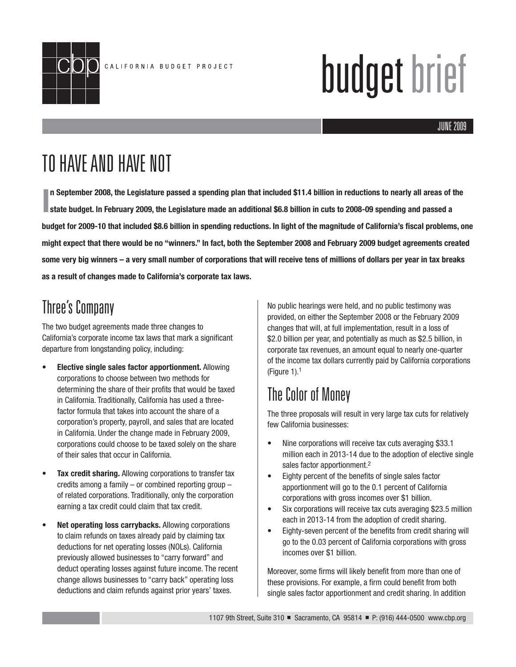

# budget brief

#### JUNE 2005 JUNE 2009

## TO HAVE AND HAVE NOT

**I** In September 2008, the Legislature passed a spending plan that included \$11.4 billion in reductions to nearly all areas of the state budget. In February 2009, the Legislature made an additional \$6.8 billion in cuts to **state budget. In February 2009, the Legislature made an additional \$6.8 billion in cuts to 2008-09 spending and passed a budget for 2009-10 that included \$8.6 billion in spending reductions. In light of the magnitude of California's fiscal problems, one might expect that there would be no "winners." In fact, both the September 2008 and February 2009 budget agreements created some very big winners – a very small number of corporations that will receive tens of millions of dollars per year in tax breaks as a result of changes made to California's corporate tax laws.**

#### Three's Company

The two budget agreements made three changes to California's corporate income tax laws that mark a significant departure from longstanding policy, including:

- **Elective single sales factor apportionment.** Allowing corporations to choose between two methods for determining the share of their profits that would be taxed in California. Traditionally, California has used a threefactor formula that takes into account the share of a corporation's property, payroll, and sales that are located in California. Under the change made in February 2009, corporations could choose to be taxed solely on the share of their sales that occur in California.
- **Tax credit sharing.** Allowing corporations to transfer tax credits among a family – or combined reporting group – of related corporations. Traditionally, only the corporation earning a tax credit could claim that tax credit.
- **Net operating loss carrybacks.** Allowing corporations to claim refunds on taxes already paid by claiming tax deductions for net operating losses (NOLs). California previously allowed businesses to "carry forward" and deduct operating losses against future income. The recent change allows businesses to "carry back" operating loss deductions and claim refunds against prior years' taxes.

No public hearings were held, and no public testimony was provided, on either the September 2008 or the February 2009 changes that will, at full implementation, result in a loss of \$2.0 billion per year, and potentially as much as \$2.5 billion, in corporate tax revenues, an amount equal to nearly one-quarter of the income tax dollars currently paid by California corporations (Figure  $1$ ).<sup>1</sup>

#### The Color of Money

The three proposals will result in very large tax cuts for relatively few California businesses:

- Nine corporations will receive tax cuts averaging \$33.1 million each in 2013-14 due to the adoption of elective single sales factor apportionment.2
- Eighty percent of the benefits of single sales factor apportionment will go to the 0.1 percent of California corporations with gross incomes over \$1 billion.
- Six corporations will receive tax cuts averaging \$23.5 million each in 2013-14 from the adoption of credit sharing.
- Eighty-seven percent of the benefits from credit sharing will go to the 0.03 percent of California corporations with gross incomes over \$1 billion.

Moreover, some firms will likely benefit from more than one of these provisions. For example, a firm could benefit from both single sales factor apportionment and credit sharing. In addition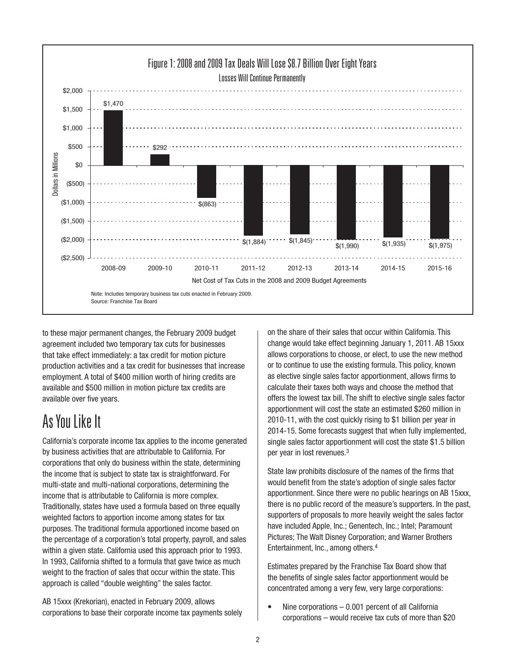

to these major permanent changes, the February 2009 budget agreement included two temporary tax cuts for businesses that take effect immediately: a tax credit for motion picture production activities and a tax credit for businesses that increase employment. A total of \$400 million worth of hiring credits are available and \$500 million in motion picture tax credits are available over five years.

#### As You Like It

California's corporate income tax applies to the income generated by business activities that are attributable to California. For corporations that only do business within the state, determining the income that is subject to state tax is straightforward. For multi-state and multi-national corporations, determining the income that is attributable to California is more complex. Traditionally, states have used a formula based on three equally weighted factors to apportion income among states for tax purposes. The traditional formula apportioned income based on the percentage of a corporation's total property, payroll, and sales within a given state. California used this approach prior to 1993. In 1993, California shifted to a formula that gave twice as much weight to the fraction of sales that occur within the state. This approach is called "double weighting" the sales factor.

AB 15xxx (Krekorian), enacted in February 2009, allows corporations to base their corporate income tax payments solely on the share of their sales that occur within California. This change would take effect beginning January 1, 2011. AB 15xxx allows corporations to choose, or elect, to use the new method or to continue to use the existing formula. This policy, known as elective single sales factor apportionment, allows firms to calculate their taxes both ways and choose the method that offers the lowest tax bill. The shift to elective single sales factor apportionment will cost the state an estimated \$260 million in 2010-11, with the cost quickly rising to \$1 billion per year in 2014-15. Some forecasts suggest that when fully implemented, single sales factor apportionment will cost the state \$1.5 billion per year in lost revenues.3

State law prohibits disclosure of the names of the firms that would benefit from the state's adoption of single sales factor apportionment. Since there were no public hearings on AB 15xxx, there is no public record of the measure's supporters. In the past, supporters of proposals to more heavily weight the sales factor have included Apple, Inc.; Genentech, Inc.; Intel; Paramount Pictures; The Walt Disney Corporation; and Warner Brothers Entertainment, Inc., among others.4

Estimates prepared by the Franchise Tax Board show that the benefits of single sales factor apportionment would be concentrated among a very few, very large corporations:

• Nine corporations – 0.001 percent of all California corporations – would receive tax cuts of more than \$20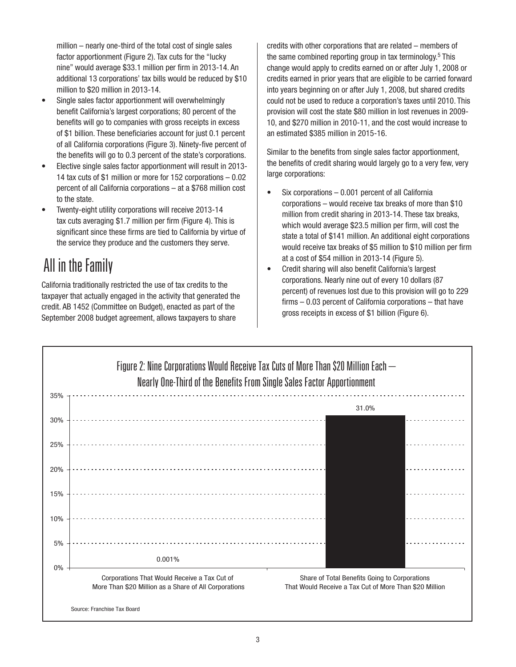million – nearly one-third of the total cost of single sales factor apportionment (Figure 2). Tax cuts for the "lucky nine" would average \$33.1 million per firm in 2013-14. An additional 13 corporations' tax bills would be reduced by \$10 million to \$20 million in 2013-14.

- Single sales factor apportionment will overwhelmingly benefit California's largest corporations; 80 percent of the benefits will go to companies with gross receipts in excess of \$1 billion. These beneficiaries account for just 0.1 percent of all California corporations (Figure 3). Ninety-five percent of the benefits will go to 0.3 percent of the state's corporations.
- Elective single sales factor apportionment will result in 2013- 14 tax cuts of \$1 million or more for 152 corporations – 0.02 percent of all California corporations – at a \$768 million cost to the state.
- Twenty-eight utility corporations will receive 2013-14 tax cuts averaging \$1.7 million per firm (Figure 4). This is significant since these firms are tied to California by virtue of the service they produce and the customers they serve.

## All in the Family

California traditionally restricted the use of tax credits to the taxpayer that actually engaged in the activity that generated the credit. AB 1452 (Committee on Budget), enacted as part of the September 2008 budget agreement, allows taxpayers to share

credits with other corporations that are related – members of the same combined reporting group in tax terminology.5 This change would apply to credits earned on or after July 1, 2008 or credits earned in prior years that are eligible to be carried forward into years beginning on or after July 1, 2008, but shared credits could not be used to reduce a corporation's taxes until 2010. This provision will cost the state \$80 million in lost revenues in 2009- 10, and \$270 million in 2010-11, and the cost would increase to an estimated \$385 million in 2015-16.

Similar to the benefits from single sales factor apportionment, the benefits of credit sharing would largely go to a very few, very large corporations:

- Six corporations  $-0.001$  percent of all California corporations – would receive tax breaks of more than \$10 million from credit sharing in 2013-14. These tax breaks, which would average \$23.5 million per firm, will cost the state a total of \$141 million. An additional eight corporations would receive tax breaks of \$5 million to \$10 million per firm at a cost of \$54 million in 2013-14 (Figure 5).
- Credit sharing will also benefit California's largest corporations. Nearly nine out of every 10 dollars (87 percent) of revenues lost due to this provision will go to 229  $firms - 0.03$  percent of California corporations  $-$  that have gross receipts in excess of \$1 billion (Figure 6).

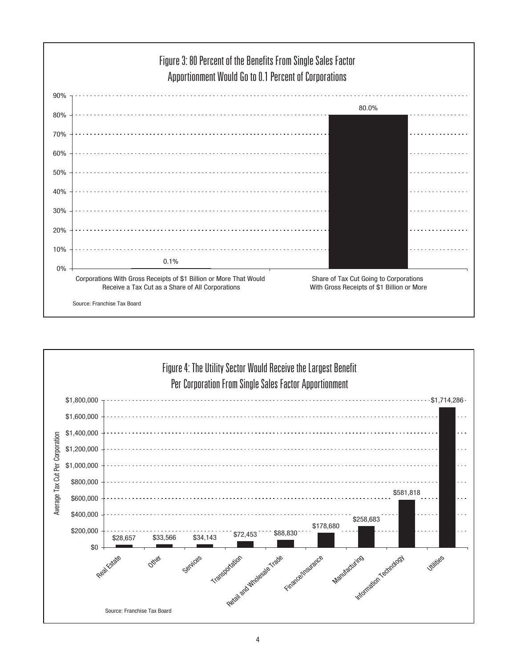

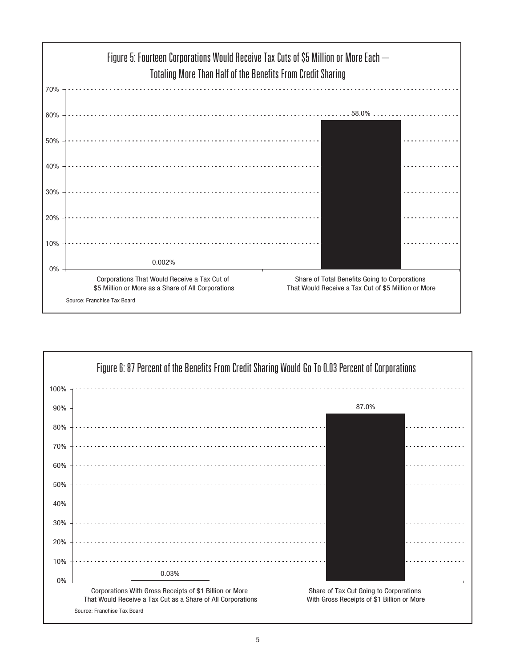

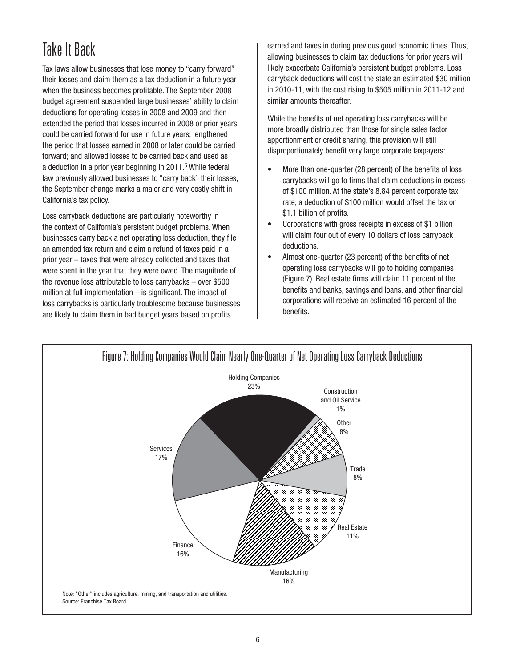## Take It Back

Tax laws allow businesses that lose money to "carry forward" their losses and claim them as a tax deduction in a future year when the business becomes profitable. The September 2008 budget agreement suspended large businesses' ability to claim deductions for operating losses in 2008 and 2009 and then extended the period that losses incurred in 2008 or prior years could be carried forward for use in future years; lengthened the period that losses earned in 2008 or later could be carried forward; and allowed losses to be carried back and used as a deduction in a prior year beginning in 2011.<sup>6</sup> While federal law previously allowed businesses to "carry back" their losses, the September change marks a major and very costly shift in California's tax policy.

Loss carryback deductions are particularly noteworthy in the context of California's persistent budget problems. When businesses carry back a net operating loss deduction, they file an amended tax return and claim a refund of taxes paid in a prior year – taxes that were already collected and taxes that were spent in the year that they were owed. The magnitude of the revenue loss attributable to loss carrybacks – over \$500 million at full implementation  $-$  is significant. The impact of loss carrybacks is particularly troublesome because businesses are likely to claim them in bad budget years based on profits

earned and taxes in during previous good economic times. Thus, allowing businesses to claim tax deductions for prior years will likely exacerbate California's persistent budget problems. Loss carryback deductions will cost the state an estimated \$30 million in 2010-11, with the cost rising to \$505 million in 2011-12 and similar amounts thereafter.

apportionment or credit sharing, this provision will still disproportionately benefit very large corporate taxpayers: While the benefits of net operating loss carrybacks will be more broadly distributed than those for single sales factor

- More than one-quarter (28 percent) of the benefits of loss carrybacks will go to firms that claim deductions in excess of \$100 million. At the state's 8.84 percent corporate tax rate, a deduction of \$100 million would offset the tax on \$1.1 billion of profits.
- Corporations with gross receipts in excess of \$1 billion will claim four out of every 10 dollars of loss carryback deductions.
- Almost one-quarter (23 percent) of the benefits of net operating loss carrybacks will go to holding companies (Figure 7). Real estate firms will claim 11 percent of the benefits and banks, savings and loans, and other financial corporations will receive an estimated 16 percent of the benefits.